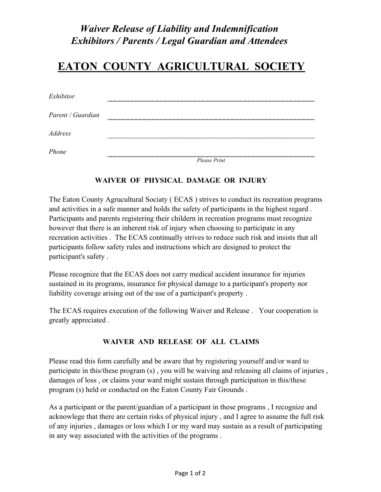## *Waiver Release of Liability and Indemnification Exhibitors / Parents / Legal Guardian and Attendees*

# **EATON COUNTY AGRICULTURAL SOCIETY**

| Exhibitor         |              |
|-------------------|--------------|
| Parent / Guardian |              |
| <i>Address</i>    |              |
| Phone             | Please Print |

#### **WAIVER OF PHYSICAL DAMAGE OR INJURY**

The Eaton County Agrucultural Sociaty ( ECAS ) strives to conduct its recreation programs and activities in a safe manner and holds the safety of participants in the highest regard . Participants and parents registering their childern in recreation programs must recognize however that there is an inherent risk of injury when choosing to participate in any recreation activities . The ECAS continually strives to reduce such risk and insists that all participants follow safety rules and instructions which are designed to protect the participant's safety .

Please recognize that the ECAS does not carry medical accident insurance for injuries sustained in its programs, insurance for physical damage to a participant's property nor liability coverage arising out of the use of a participant's property .

The ECAS requires execution of the following Waiver and Release . Your cooperation is greatly appreciated .

#### **WAIVER AND RELEASE OF ALL CLAIMS**

Please read this form carefully and be aware that by registering yourself and/or ward to participate in this/these program (s) , you will be waiving and releasing all claims of injuries , damages of loss , or claims your ward might sustain through participation in this/these program (s) held or conducted on the Eaton County Fair Grounds .

As a participant or the parent/guardian of a participant in these programs , I recognize and acknowlege that there are certain risks of physical injury , and I agree to assume the full risk of any injuries , damages or loss which I or my ward may sustain as a result of participating in any way associated with the activities of the programs .